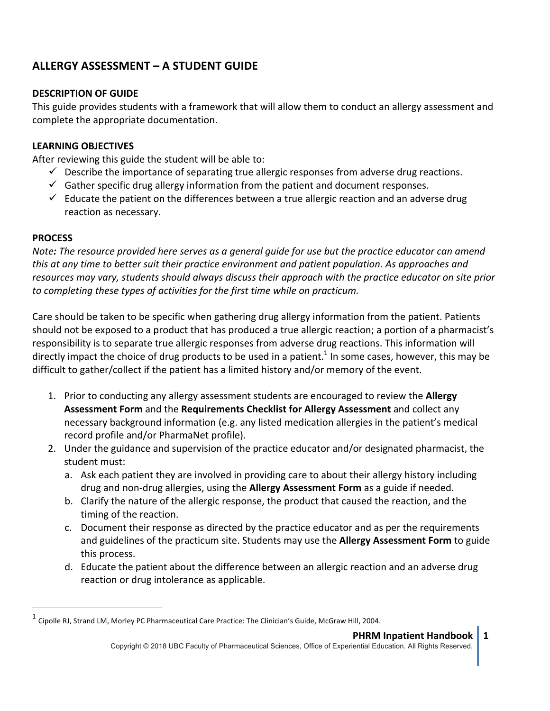# **ALLERGY ASSESSMENT – A STUDENT GUIDE**

### **DESCRIPTION OF GUIDE**

This guide provides students with a framework that will allow them to conduct an allergy assessment and complete the appropriate documentation.

### **LEARNING OBJECTIVES**

 

After reviewing this guide the student will be able to:

- $\checkmark$  Describe the importance of separating true allergic responses from adverse drug reactions.
- $\checkmark$  Gather specific drug allergy information from the patient and document responses.
- $\checkmark$  Educate the patient on the differences between a true allergic reaction and an adverse drug reaction as necessary.

#### **PROCESS**

*Note:* The resource provided here serves as a general guide for use but the practice educator can amend *this* at any time to better suit their practice environment and patient population. As approaches and resources may vary, students should always discuss their approach with the practice educator on site prior to completing these types of activities for the first time while on practicum.

Care should be taken to be specific when gathering drug allergy information from the patient. Patients should not be exposed to a product that has produced a true allergic reaction; a portion of a pharmacist's responsibility is to separate true allergic responses from adverse drug reactions. This information will directly impact the choice of drug products to be used in a patient.<sup>1</sup> In some cases, however, this may be difficult to gather/collect if the patient has a limited history and/or memory of the event.

- 1. Prior to conducting any allergy assessment students are encouraged to review the **Allergy Assessment Form** and the **Requirements Checklist for Allergy Assessment** and collect any necessary background information (e.g. any listed medication allergies in the patient's medical record profile and/or PharmaNet profile).
- 2. Under the guidance and supervision of the practice educator and/or designated pharmacist, the student must:
	- a. Ask each patient they are involved in providing care to about their allergy history including drug and non-drug allergies, using the **Allergy Assessment Form** as a guide if needed.
	- b. Clarify the nature of the allergic response, the product that caused the reaction, and the timing of the reaction.
	- c. Document their response as directed by the practice educator and as per the requirements and guidelines of the practicum site. Students may use the **Allergy Assessment Form** to guide this process.
	- d. Educate the patient about the difference between an allergic reaction and an adverse drug reaction or drug intolerance as applicable.

 $^1$  Cipolle RJ, Strand LM, Morley PC Pharmaceutical Care Practice: The Clinician's Guide, McGraw Hill, 2004.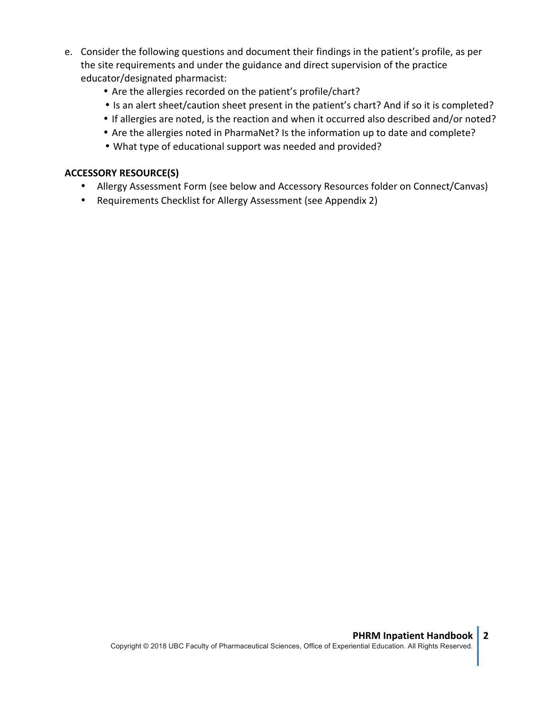- e. Consider the following questions and document their findings in the patient's profile, as per the site requirements and under the guidance and direct supervision of the practice educator/designated pharmacist:
	- Are the allergies recorded on the patient's profile/chart?
	- Is an alert sheet/caution sheet present in the patient's chart? And if so it is completed?
	- If allergies are noted, is the reaction and when it occurred also described and/or noted?
	- Are the allergies noted in PharmaNet? Is the information up to date and complete?
	- What type of educational support was needed and provided?

## **ACCESSORY RESOURCE(S)**

- Allergy Assessment Form (see below and Accessory Resources folder on Connect/Canvas)
- Requirements Checklist for Allergy Assessment (see Appendix 2)